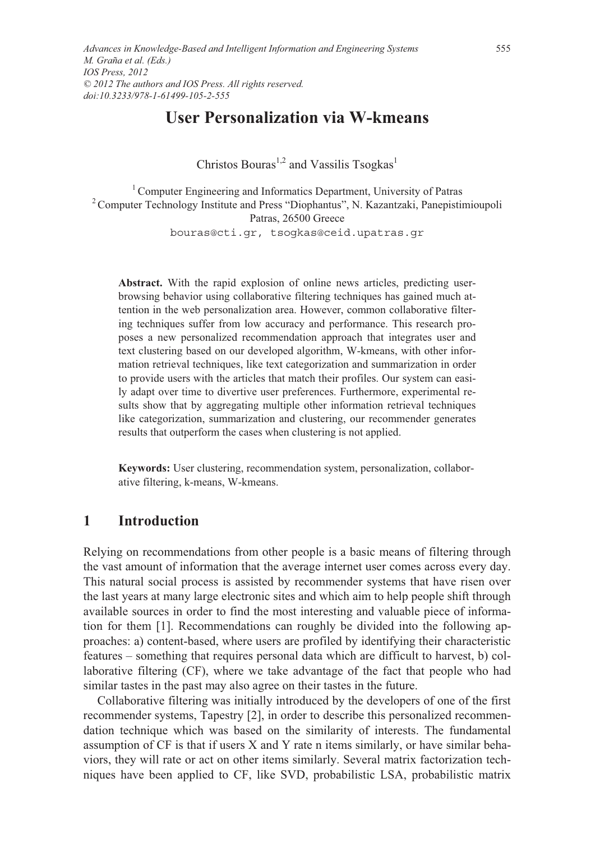# **User Personalization via W-kmeans**

Christos Bouras<sup>1,2</sup> and Vassilis Tsogkas<sup>1</sup>

<sup>1</sup> Computer Engineering and Informatics Department, University of Patras <sup>2</sup> Computer Technology Institute and Press "Diophantus", N. Kazantzaki, Panepistimioupoli Patras, 26500 Greece bouras@cti.gr, tsogkas@ceid.upatras.gr

**Abstract.** With the rapid explosion of online news articles, predicting userbrowsing behavior using collaborative filtering techniques has gained much attention in the web personalization area. However, common collaborative filtering techniques suffer from low accuracy and performance. This research proposes a new personalized recommendation approach that integrates user and text clustering based on our developed algorithm, W-kmeans, with other information retrieval techniques, like text categorization and summarization in order to provide users with the articles that match their profiles. Our system can easily adapt over time to divertive user preferences. Furthermore, experimental results show that by aggregating multiple other information retrieval techniques like categorization, summarization and clustering, our recommender generates results that outperform the cases when clustering is not applied.

**Keywords:** User clustering, recommendation system, personalization, collaborative filtering, k-means, W-kmeans.

## **1 Introduction**

Relying on recommendations from other people is a basic means of filtering through the vast amount of information that the average internet user comes across every day. This natural social process is assisted by recommender systems that have risen over the last years at many large electronic sites and which aim to help people shift through available sources in order to find the most interesting and valuable piece of information for them [1]. Recommendations can roughly be divided into the following approaches: a) content-based, where users are profiled by identifying their characteristic features – something that requires personal data which are difficult to harvest, b) collaborative filtering (CF), where we take advantage of the fact that people who had similar tastes in the past may also agree on their tastes in the future.

Collaborative filtering was initially introduced by the developers of one of the first recommender systems, Tapestry [2], in order to describe this personalized recommendation technique which was based on the similarity of interests. The fundamental assumption of CF is that if users X and Y rate n items similarly, or have similar behaviors, they will rate or act on other items similarly. Several matrix factorization techniques have been applied to CF, like SVD, probabilistic LSA, probabilistic matrix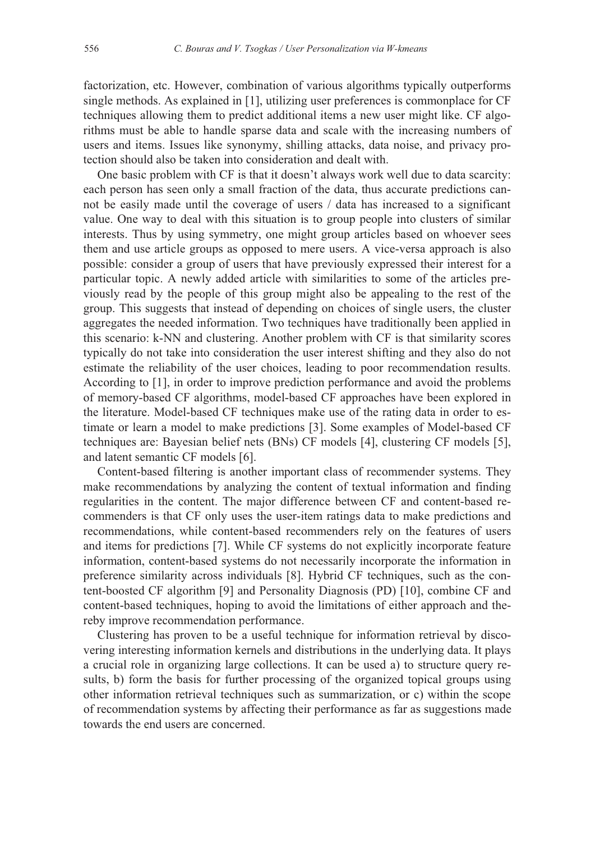factorization, etc. However, combination of various algorithms typically outperforms single methods. As explained in [1], utilizing user preferences is commonplace for CF techniques allowing them to predict additional items a new user might like. CF algorithms must be able to handle sparse data and scale with the increasing numbers of users and items. Issues like synonymy, shilling attacks, data noise, and privacy protection should also be taken into consideration and dealt with.

One basic problem with CF is that it doesn't always work well due to data scarcity: each person has seen only a small fraction of the data, thus accurate predictions cannot be easily made until the coverage of users / data has increased to a significant value. One way to deal with this situation is to group people into clusters of similar interests. Thus by using symmetry, one might group articles based on whoever sees them and use article groups as opposed to mere users. A vice-versa approach is also possible: consider a group of users that have previously expressed their interest for a particular topic. A newly added article with similarities to some of the articles previously read by the people of this group might also be appealing to the rest of the group. This suggests that instead of depending on choices of single users, the cluster aggregates the needed information. Two techniques have traditionally been applied in this scenario: k-NN and clustering. Another problem with CF is that similarity scores typically do not take into consideration the user interest shifting and they also do not estimate the reliability of the user choices, leading to poor recommendation results. According to [1], in order to improve prediction performance and avoid the problems of memory-based CF algorithms, model-based CF approaches have been explored in the literature. Model-based CF techniques make use of the rating data in order to estimate or learn a model to make predictions [3]. Some examples of Model-based CF techniques are: Bayesian belief nets (BNs) CF models [4], clustering CF models [5], and latent semantic CF models [6].

Content-based filtering is another important class of recommender systems. They make recommendations by analyzing the content of textual information and finding regularities in the content. The major difference between CF and content-based recommenders is that CF only uses the user-item ratings data to make predictions and recommendations, while content-based recommenders rely on the features of users and items for predictions [7]. While CF systems do not explicitly incorporate feature information, content-based systems do not necessarily incorporate the information in preference similarity across individuals [8]. Hybrid CF techniques, such as the content-boosted CF algorithm [9] and Personality Diagnosis (PD) [10], combine CF and content-based techniques, hoping to avoid the limitations of either approach and thereby improve recommendation performance.

Clustering has proven to be a useful technique for information retrieval by discovering interesting information kernels and distributions in the underlying data. It plays a crucial role in organizing large collections. It can be used a) to structure query results, b) form the basis for further processing of the organized topical groups using other information retrieval techniques such as summarization, or c) within the scope of recommendation systems by affecting their performance as far as suggestions made towards the end users are concerned.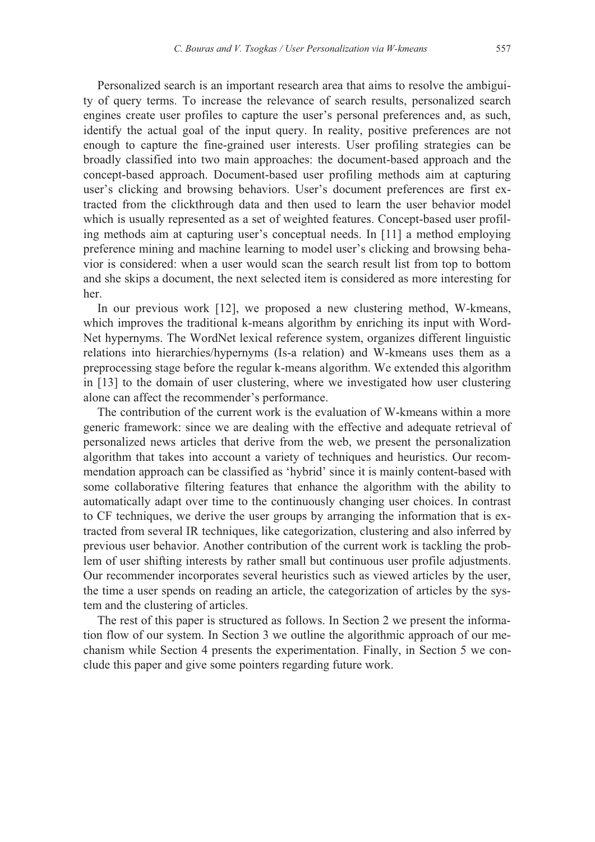Personalized search is an important research area that aims to resolve the ambiguity of query terms. To increase the relevance of search results, personalized search engines create user profiles to capture the user's personal preferences and, as such, identify the actual goal of the input query. In reality, positive preferences are not enough to capture the fine-grained user interests. User profiling strategies can be broadly classified into two main approaches: the document-based approach and the concept-based approach. Document-based user profiling methods aim at capturing user's clicking and browsing behaviors. User's document preferences are first extracted from the clickthrough data and then used to learn the user behavior model which is usually represented as a set of weighted features. Concept-based user profiling methods aim at capturing user's conceptual needs. In [11] a method employing preference mining and machine learning to model user's clicking and browsing behavior is considered: when a user would scan the search result list from top to bottom and she skips a document, the next selected item is considered as more interesting for her.

In our previous work [12], we proposed a new clustering method, W-kmeans, which improves the traditional k-means algorithm by enriching its input with Word-Net hypernyms. The WordNet lexical reference system, organizes different linguistic relations into hierarchies/hypernyms (Is-a relation) and W-kmeans uses them as a preprocessing stage before the regular k-means algorithm. We extended this algorithm in [13] to the domain of user clustering, where we investigated how user clustering alone can affect the recommender's performance.

The contribution of the current work is the evaluation of W-kmeans within a more generic framework: since we are dealing with the effective and adequate retrieval of personalized news articles that derive from the web, we present the personalization algorithm that takes into account a variety of techniques and heuristics. Our recommendation approach can be classified as 'hybrid' since it is mainly content-based with some collaborative filtering features that enhance the algorithm with the ability to automatically adapt over time to the continuously changing user choices. In contrast to CF techniques, we derive the user groups by arranging the information that is extracted from several IR techniques, like categorization, clustering and also inferred by previous user behavior. Another contribution of the current work is tackling the problem of user shifting interests by rather small but continuous user profile adjustments. Our recommender incorporates several heuristics such as viewed articles by the user, the time a user spends on reading an article, the categorization of articles by the system and the clustering of articles.

The rest of this paper is structured as follows. In Section 2 we present the information flow of our system. In Section 3 we outline the algorithmic approach of our mechanism while Section 4 presents the experimentation. Finally, in Section 5 we conclude this paper and give some pointers regarding future work.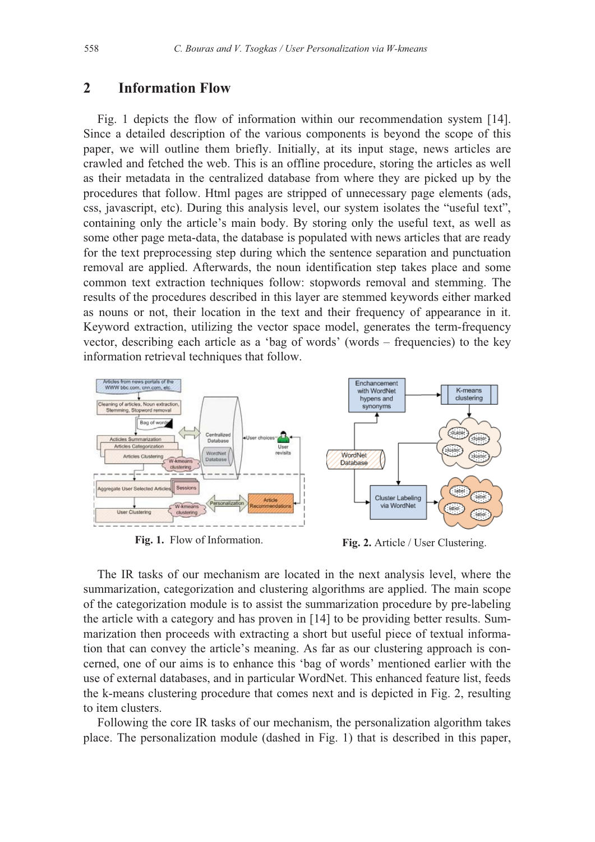### **2 Information Flow**

Fig. 1 depicts the flow of information within our recommendation system [14]. Since a detailed description of the various components is beyond the scope of this paper, we will outline them briefly. Initially, at its input stage, news articles are crawled and fetched the web. This is an offline procedure, storing the articles as well as their metadata in the centralized database from where they are picked up by the procedures that follow. Html pages are stripped of unnecessary page elements (ads, css, javascript, etc). During this analysis level, our system isolates the "useful text", containing only the article's main body. By storing only the useful text, as well as some other page meta-data, the database is populated with news articles that are ready for the text preprocessing step during which the sentence separation and punctuation removal are applied. Afterwards, the noun identification step takes place and some common text extraction techniques follow: stopwords removal and stemming. The results of the procedures described in this layer are stemmed keywords either marked as nouns or not, their location in the text and their frequency of appearance in it. Keyword extraction, utilizing the vector space model, generates the term-frequency vector, describing each article as a 'bag of words' (words – frequencies) to the key information retrieval techniques that follow.



Fig. 1. Flow of Information. **Fig. 2.** Article / User Clustering.

The IR tasks of our mechanism are located in the next analysis level, where the summarization, categorization and clustering algorithms are applied. The main scope of the categorization module is to assist the summarization procedure by pre-labeling the article with a category and has proven in [14] to be providing better results. Summarization then proceeds with extracting a short but useful piece of textual information that can convey the article's meaning. As far as our clustering approach is concerned, one of our aims is to enhance this 'bag of words' mentioned earlier with the use of external databases, and in particular WordNet. This enhanced feature list, feeds the k-means clustering procedure that comes next and is depicted in Fig. 2, resulting to item clusters.

Following the core IR tasks of our mechanism, the personalization algorithm takes place. The personalization module (dashed in Fig. 1) that is described in this paper,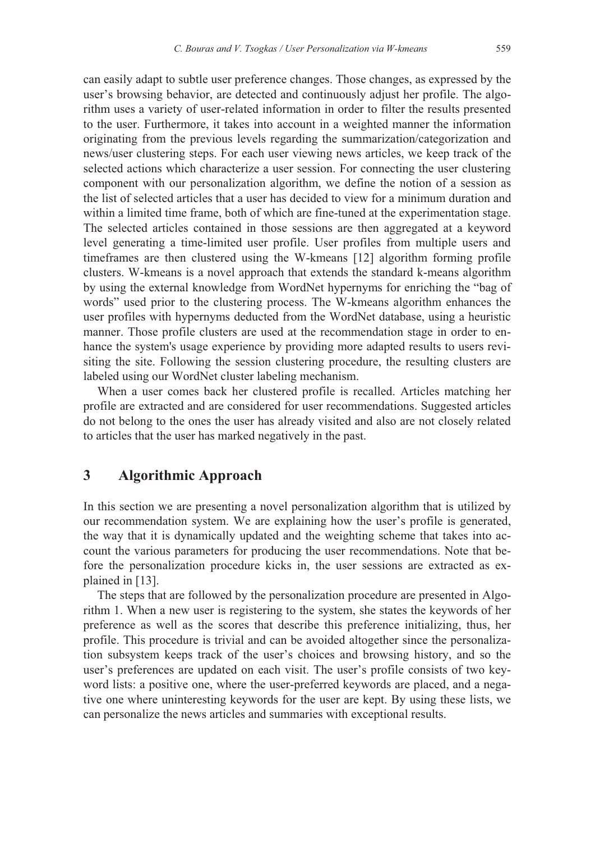can easily adapt to subtle user preference changes. Those changes, as expressed by the user's browsing behavior, are detected and continuously adjust her profile. The algorithm uses a variety of user-related information in order to filter the results presented to the user. Furthermore, it takes into account in a weighted manner the information originating from the previous levels regarding the summarization/categorization and news/user clustering steps. For each user viewing news articles, we keep track of the selected actions which characterize a user session. For connecting the user clustering component with our personalization algorithm, we define the notion of a session as the list of selected articles that a user has decided to view for a minimum duration and within a limited time frame, both of which are fine-tuned at the experimentation stage. The selected articles contained in those sessions are then aggregated at a keyword level generating a time-limited user profile. User profiles from multiple users and timeframes are then clustered using the W-kmeans [12] algorithm forming profile clusters. W-kmeans is a novel approach that extends the standard k-means algorithm by using the external knowledge from WordNet hypernyms for enriching the "bag of words" used prior to the clustering process. The W-kmeans algorithm enhances the user profiles with hypernyms deducted from the WordNet database, using a heuristic manner. Those profile clusters are used at the recommendation stage in order to enhance the system's usage experience by providing more adapted results to users revisiting the site. Following the session clustering procedure, the resulting clusters are labeled using our WordNet cluster labeling mechanism.

When a user comes back her clustered profile is recalled. Articles matching her profile are extracted and are considered for user recommendations. Suggested articles do not belong to the ones the user has already visited and also are not closely related to articles that the user has marked negatively in the past.

## **3 Algorithmic Approach**

In this section we are presenting a novel personalization algorithm that is utilized by our recommendation system. We are explaining how the user's profile is generated, the way that it is dynamically updated and the weighting scheme that takes into account the various parameters for producing the user recommendations. Note that before the personalization procedure kicks in, the user sessions are extracted as explained in [13].

The steps that are followed by the personalization procedure are presented in Algorithm 1. When a new user is registering to the system, she states the keywords of her preference as well as the scores that describe this preference initializing, thus, her profile. This procedure is trivial and can be avoided altogether since the personalization subsystem keeps track of the user's choices and browsing history, and so the user's preferences are updated on each visit. The user's profile consists of two keyword lists: a positive one, where the user-preferred keywords are placed, and a negative one where uninteresting keywords for the user are kept. By using these lists, we can personalize the news articles and summaries with exceptional results.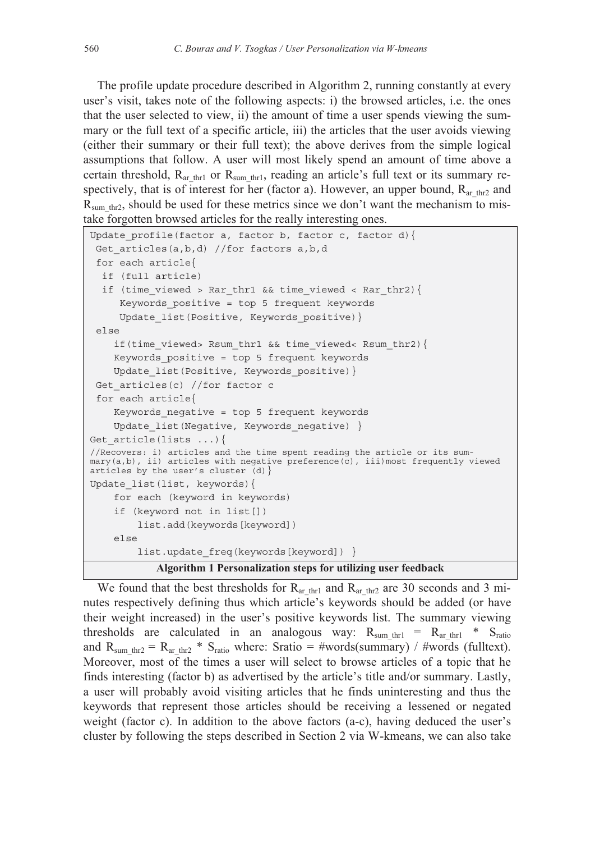The profile update procedure described in Algorithm 2, running constantly at every user's visit, takes note of the following aspects: i) the browsed articles, i.e. the ones that the user selected to view, ii) the amount of time a user spends viewing the summary or the full text of a specific article, iii) the articles that the user avoids viewing (either their summary or their full text); the above derives from the simple logical assumptions that follow. A user will most likely spend an amount of time above a certain threshold,  $R_{ar\_thr1}$  or  $R_{sum\_thr1}$ , reading an article's full text or its summary respectively, that is of interest for her (factor a). However, an upper bound,  $R_{ar-thr2}$  and  $R_{sum~thr2}$ , should be used for these metrics since we don't want the mechanism to mistake forgotten browsed articles for the really interesting ones.

```
Update profile(factor a, factor b, factor c, factor d){
 Get articles(a,b,d) //for factors a,b,d
  for each article{ 
   if (full article) 
  if (time viewed > Rar thr1 && time viewed < Rar thr2) {
      Keywords_positive = top 5 frequent keywords 
     Update list(Positive, Keywords positive) }
  else 
     if(time_viewed> Rsum_thr1 && time_viewed< Rsum_thr2){ 
     Keywords_positive = top 5 frequent keywords 
    Update list(Positive, Keywords positive) }
Get articles(c) //for factor c
  for each article{ 
     Keywords_negative = top 5 frequent keywords 
    Update list(Negative, Keywords negative) }
Get article(lists \ldots){
//Recovers: i) articles and the time spent reading the article or its sum-
mary(a,b), ii) articles with negative preference(c), iii)most frequently viewed 
articles by the user's cluster (d) \}Update_list(list, keywords){ 
     for each (keyword in keywords) 
     if (keyword not in list[]) 
         list.add(keywords[keyword]) 
     else 
        list.update freq(keywords[keyword]) }
            Algorithm 1 Personalization steps for utilizing user feedback
```
We found that the best thresholds for  $R_{ar$ <sub>thr1</sub> and  $R_{ar}$ <sub>thr2</sub> are 30 seconds and 3 minutes respectively defining thus which article's keywords should be added (or have their weight increased) in the user's positive keywords list. The summary viewing thresholds are calculated in an analogous way:  $R_{sum~thr1} = R_{ar~thr1} * S_{ratio}$ and R<sub>sum thr2</sub> = R<sub>arthr2</sub> \* S<sub>ratio</sub> where: Sratio = #words(summary) / #words (fulltext). Moreover, most of the times a user will select to browse articles of a topic that he finds interesting (factor b) as advertised by the article's title and/or summary. Lastly, a user will probably avoid visiting articles that he finds uninteresting and thus the keywords that represent those articles should be receiving a lessened or negated weight (factor c). In addition to the above factors (a-c), having deduced the user's cluster by following the steps described in Section 2 via W-kmeans, we can also take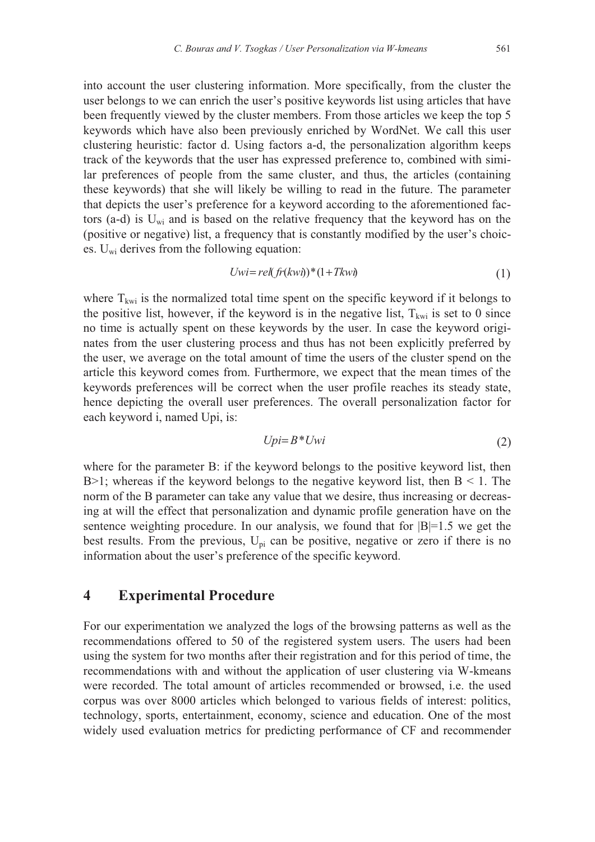into account the user clustering information. More specifically, from the cluster the user belongs to we can enrich the user's positive keywords list using articles that have been frequently viewed by the cluster members. From those articles we keep the top 5 keywords which have also been previously enriched by WordNet. We call this user clustering heuristic: factor d. Using factors a-d, the personalization algorithm keeps track of the keywords that the user has expressed preference to, combined with similar preferences of people from the same cluster, and thus, the articles (containing these keywords) that she will likely be willing to read in the future. The parameter that depicts the user's preference for a keyword according to the aforementioned factors (a-d) is  $U_{wi}$  and is based on the relative frequency that the keyword has on the (positive or negative) list, a frequency that is constantly modified by the user's choices.  $U_{wi}$  derives from the following equation:

$$
Uwi = rel(fr(kwi))^* (1 + Tkwi)
$$
\n(1)

where  $T_{kwi}$  is the normalized total time spent on the specific keyword if it belongs to the positive list, however, if the keyword is in the negative list,  $T_{kwi}$  is set to 0 since no time is actually spent on these keywords by the user. In case the keyword originates from the user clustering process and thus has not been explicitly preferred by the user, we average on the total amount of time the users of the cluster spend on the article this keyword comes from. Furthermore, we expect that the mean times of the keywords preferences will be correct when the user profile reaches its steady state, hence depicting the overall user preferences. The overall personalization factor for each keyword i, named Upi, is:

$$
Upi = B^*Uwi \tag{2}
$$

where for the parameter B: if the keyword belongs to the positive keyword list, then B $>1$ ; whereas if the keyword belongs to the negative keyword list, then B  $\leq 1$ . The norm of the B parameter can take any value that we desire, thus increasing or decreasing at will the effect that personalization and dynamic profile generation have on the sentence weighting procedure. In our analysis, we found that for  $|B|=1.5$  we get the best results. From the previous,  $U_{pi}$  can be positive, negative or zero if there is no information about the user's preference of the specific keyword.

## **4 Experimental Procedure**

For our experimentation we analyzed the logs of the browsing patterns as well as the recommendations offered to 50 of the registered system users. The users had been using the system for two months after their registration and for this period of time, the recommendations with and without the application of user clustering via W-kmeans were recorded. The total amount of articles recommended or browsed, i.e. the used corpus was over 8000 articles which belonged to various fields of interest: politics, technology, sports, entertainment, economy, science and education. One of the most widely used evaluation metrics for predicting performance of CF and recommender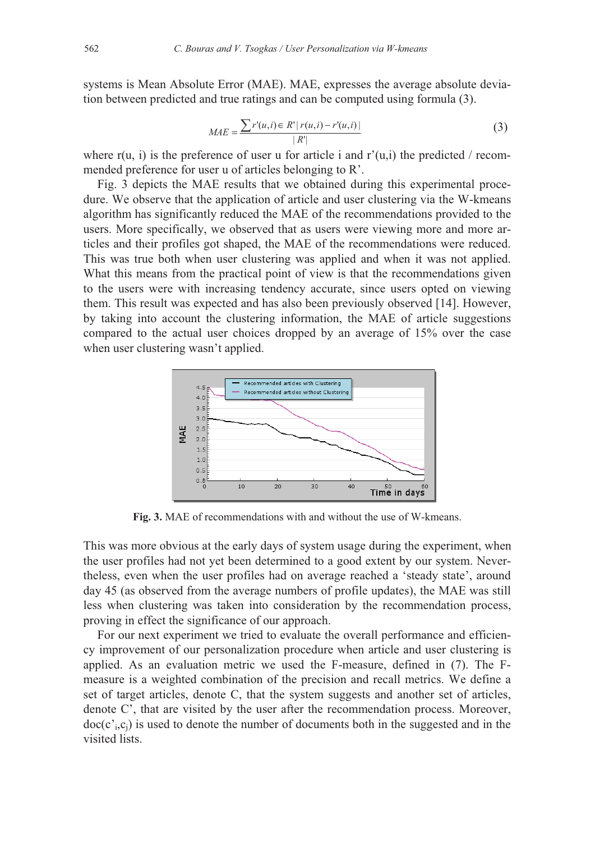systems is Mean Absolute Error (MAE). MAE, expresses the average absolute deviation between predicted and true ratings and can be computed using formula (3).

$$
MAE = \frac{\sum r'(u,i) \in R' | r(u,i) - r'(u,i) |}{|R'|}
$$
(3)

where  $r(u, i)$  is the preference of user u for article i and  $r'(u,i)$  the predicted / recommended preference for user u of articles belonging to R'.

Fig. 3 depicts the MAE results that we obtained during this experimental procedure. We observe that the application of article and user clustering via the W-kmeans algorithm has significantly reduced the MAE of the recommendations provided to the users. More specifically, we observed that as users were viewing more and more articles and their profiles got shaped, the MAE of the recommendations were reduced. This was true both when user clustering was applied and when it was not applied. What this means from the practical point of view is that the recommendations given to the users were with increasing tendency accurate, since users opted on viewing them. This result was expected and has also been previously observed [14]. However, by taking into account the clustering information, the MAE of article suggestions compared to the actual user choices dropped by an average of 15% over the case when user clustering wasn't applied.



**Fig. 3.** MAE of recommendations with and without the use of W-kmeans.

This was more obvious at the early days of system usage during the experiment, when the user profiles had not yet been determined to a good extent by our system. Nevertheless, even when the user profiles had on average reached a 'steady state', around day 45 (as observed from the average numbers of profile updates), the MAE was still less when clustering was taken into consideration by the recommendation process, proving in effect the significance of our approach.

For our next experiment we tried to evaluate the overall performance and efficiency improvement of our personalization procedure when article and user clustering is applied. As an evaluation metric we used the F-measure, defined in (7). The Fmeasure is a weighted combination of the precision and recall metrics. We define a set of target articles, denote C, that the system suggests and another set of articles, denote C', that are visited by the user after the recommendation process. Moreover,  $doc(c<sub>i</sub>, c<sub>i</sub>)$  is used to denote the number of documents both in the suggested and in the visited lists.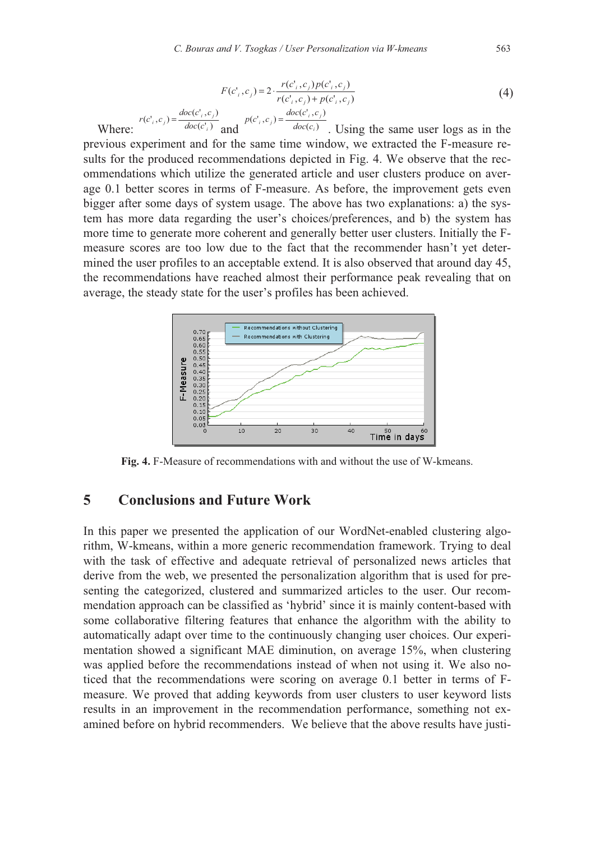$$
F(c_i^*, c_j) = 2 \cdot \frac{r(c_i^*, c_j) p(c_i^*, c_j)}{r(c_i^*, c_j) + p(c_i^*, c_j)}
$$
(4)  

$$
r(c_i^*, c_j) = \frac{doc(c_i^*, c_j)}{doc(c_i^*)}
$$
qand
$$
p(c_i^*, c_j) = \frac{doc(c_i^*, c_j)}{doc(c_i)}
$$
Using the same user logs as in the

Where:  $\int_{c_i}^{c_i} \frac{doc(c_i)}{c_i}$ *i* and  $\int_{0}^{r^{(1)},(1)}$  doc $(c_i)$ *i* . Using the same user logs as in the previous experiment and for the same time window, we extracted the F-measure results for the produced recommendations depicted in Fig. 4. We observe that the recommendations which utilize the generated article and user clusters produce on average 0.1 better scores in terms of F-measure. As before, the improvement gets even bigger after some days of system usage. The above has two explanations: a) the system has more data regarding the user's choices/preferences, and b) the system has more time to generate more coherent and generally better user clusters. Initially the Fmeasure scores are too low due to the fact that the recommender hasn't yet determined the user profiles to an acceptable extend. It is also observed that around day 45, the recommendations have reached almost their performance peak revealing that on average, the steady state for the user's profiles has been achieved.



**Fig. 4.** F-Measure of recommendations with and without the use of W-kmeans.

## **5 Conclusions and Future Work**

In this paper we presented the application of our WordNet-enabled clustering algorithm, W-kmeans, within a more generic recommendation framework. Trying to deal with the task of effective and adequate retrieval of personalized news articles that derive from the web, we presented the personalization algorithm that is used for presenting the categorized, clustered and summarized articles to the user. Our recommendation approach can be classified as 'hybrid' since it is mainly content-based with some collaborative filtering features that enhance the algorithm with the ability to automatically adapt over time to the continuously changing user choices. Our experimentation showed a significant MAE diminution, on average 15%, when clustering was applied before the recommendations instead of when not using it. We also noticed that the recommendations were scoring on average 0.1 better in terms of Fmeasure. We proved that adding keywords from user clusters to user keyword lists results in an improvement in the recommendation performance, something not examined before on hybrid recommenders. We believe that the above results have justi